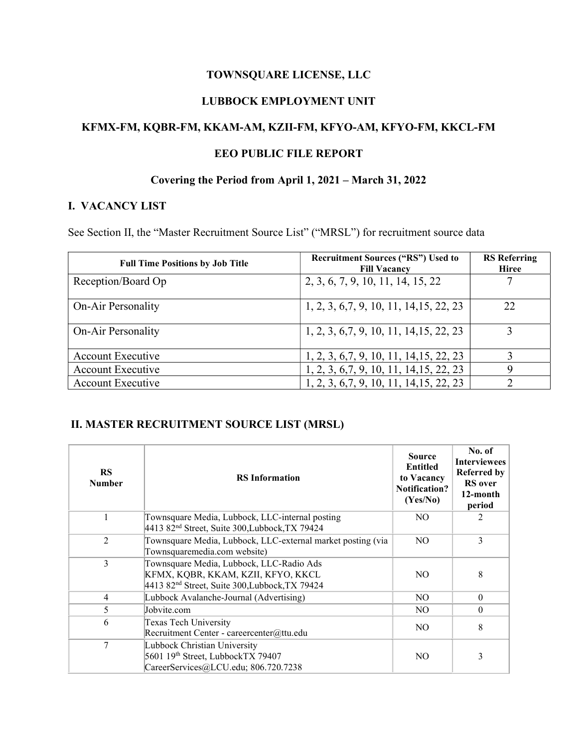### TOWNSQUARE LICENSE, LLC

### LUBBOCK EMPLOYMENT UNIT

## KFMX-FM, KQBR-FM, KKAM-AM, KZII-FM, KFYO-AM, KFYO-FM, KKCL-FM

#### EEO PUBLIC FILE REPORT

### Covering the Period from April 1, 2021 – March 31, 2022

#### I. VACANCY LIST

See Section II, the "Master Recruitment Source List" ("MRSL") for recruitment source data

| <b>Full Time Positions by Job Title</b> | <b>Recruitment Sources ("RS") Used to</b><br><b>Fill Vacancy</b> | <b>RS</b> Referring<br><b>Hiree</b> |
|-----------------------------------------|------------------------------------------------------------------|-------------------------------------|
| Reception/Board Op                      | 2, 3, 6, 7, 9, 10, 11, 14, 15, 22                                |                                     |
| <b>On-Air Personality</b>               | 1, 2, 3, 6, 7, 9, 10, 11, 14, 15, 22, 23                         | 22                                  |
| On-Air Personality                      | 1, 2, 3, 6, 7, 9, 10, 11, 14, 15, 22, 23                         |                                     |
| <b>Account Executive</b>                | $1, 2, 3, 6, 7, 9, 10, 11, 14, 15, 22, 23$                       |                                     |
| <b>Account Executive</b>                | $1, 2, 3, 6, 7, 9, 10, 11, 14, 15, 22, 23$                       | 9                                   |
| <b>Account Executive</b>                | 1, 2, 3, 6, 7, 9, 10, 11, 14, 15, 22, 23                         |                                     |

### II. MASTER RECRUITMENT SOURCE LIST (MRSL)

| <b>RS</b><br><b>Number</b>                                                                                     | <b>RS</b> Information                                                                                                                        | <b>Source</b><br><b>Entitled</b><br>to Vacancy<br><b>Notification?</b><br>(Yes/No) | No. of<br><b>Interviewees</b><br><b>Referred by</b><br><b>RS</b> over<br>12-month<br>period |
|----------------------------------------------------------------------------------------------------------------|----------------------------------------------------------------------------------------------------------------------------------------------|------------------------------------------------------------------------------------|---------------------------------------------------------------------------------------------|
|                                                                                                                | Townsquare Media, Lubbock, LLC-internal posting<br>4413 82 <sup>nd</sup> Street, Suite 300, Lubbock, TX 79424                                | NO.                                                                                |                                                                                             |
| $\overline{2}$                                                                                                 | Townsquare Media, Lubbock, LLC-external market posting (via<br>Townsquaremedia.com website)                                                  |                                                                                    | 3                                                                                           |
| $\overline{3}$                                                                                                 | Townsquare Media, Lubbock, LLC-Radio Ads<br>KFMX, KQBR, KKAM, KZII, KFYO, KKCL<br>4413 82 <sup>nd</sup> Street, Suite 300, Lubbock, TX 79424 | N <sub>O</sub>                                                                     | 8                                                                                           |
| 4                                                                                                              | Lubbock Avalanche-Journal (Advertising)                                                                                                      |                                                                                    | $\theta$                                                                                    |
| 5                                                                                                              | Jobvite.com                                                                                                                                  | N <sub>O</sub>                                                                     | $\theta$                                                                                    |
| 6<br>Texas Tech University<br>Recruitment Center - careercenter@ttu.edu                                        |                                                                                                                                              | N <sub>O</sub>                                                                     | 8                                                                                           |
| 7<br>Lubbock Christian University<br>5601 19th Street, LubbockTX 79407<br>CareerServices@LCU.edu; 806.720.7238 |                                                                                                                                              | N <sub>O</sub>                                                                     | 3                                                                                           |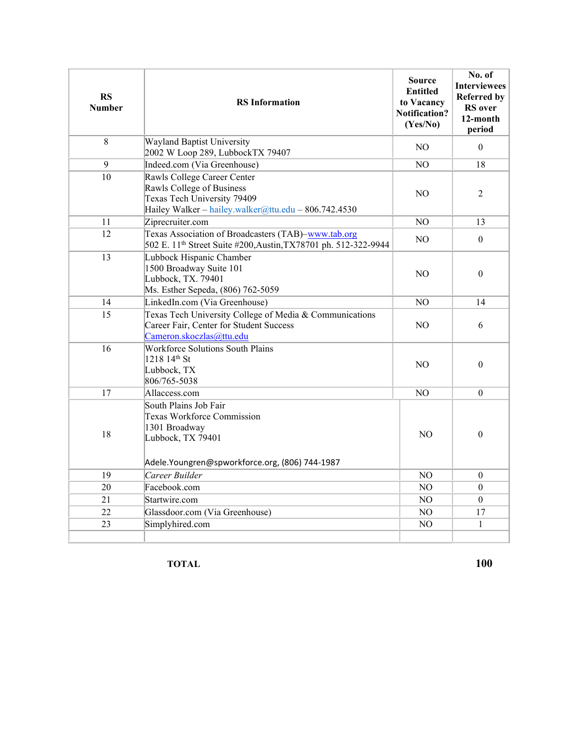| <b>RS</b><br><b>Number</b>                                                                                                                               | <b>RS</b> Information                                                                                                                                  | <b>Source</b><br><b>Entitled</b><br>to Vacancy<br><b>Notification?</b><br>(Yes/No) | No. of<br><b>Interviewees</b><br><b>Referred by</b><br><b>RS</b> over<br>12-month<br>period |
|----------------------------------------------------------------------------------------------------------------------------------------------------------|--------------------------------------------------------------------------------------------------------------------------------------------------------|------------------------------------------------------------------------------------|---------------------------------------------------------------------------------------------|
| 8                                                                                                                                                        | Wayland Baptist University<br>2002 W Loop 289, LubbockTX 79407                                                                                         | N <sub>O</sub>                                                                     | $\theta$                                                                                    |
| 9                                                                                                                                                        | Indeed.com (Via Greenhouse)                                                                                                                            | N <sub>O</sub>                                                                     | 18                                                                                          |
| 10                                                                                                                                                       | Rawls College Career Center<br>Rawls College of Business<br>NO.<br>Texas Tech University 79409<br>Hailey Walker - hailey.walker@ttu.edu - 806.742.4530 |                                                                                    | $\overline{2}$                                                                              |
| 11                                                                                                                                                       | Ziprecruiter.com                                                                                                                                       | NO                                                                                 | 13                                                                                          |
| 12                                                                                                                                                       | Texas Association of Broadcasters (TAB)-www.tab.org<br>502 E. 11 <sup>th</sup> Street Suite #200, Austin, TX78701 ph. 512-322-9944                     | N <sub>O</sub>                                                                     | $\theta$                                                                                    |
| 13                                                                                                                                                       | Lubbock Hispanic Chamber<br>1500 Broadway Suite 101<br>Lubbock, TX. 79401<br>Ms. Esther Sepeda, (806) 762-5059                                         |                                                                                    | $\theta$                                                                                    |
| 14                                                                                                                                                       | LinkedIn.com (Via Greenhouse)                                                                                                                          | N <sub>O</sub>                                                                     | 14                                                                                          |
| 15                                                                                                                                                       | Texas Tech University College of Media & Communications<br>Career Fair, Center for Student Success<br>Cameron.skoczlas@ttu.edu                         | NO.                                                                                | 6                                                                                           |
| 16                                                                                                                                                       | <b>Workforce Solutions South Plains</b><br>1218 14th St<br>Lubbock, TX<br>806/765-5038                                                                 | N <sub>O</sub>                                                                     | $\theta$                                                                                    |
| 17                                                                                                                                                       | Allaccess.com                                                                                                                                          | NO                                                                                 | $\theta$                                                                                    |
| South Plains Job Fair<br><b>Texas Workforce Commission</b><br>1301 Broadway<br>18<br>Lubbock, TX 79401<br>Adele.Youngren@spworkforce.org, (806) 744-1987 |                                                                                                                                                        | N <sub>O</sub>                                                                     | $\theta$                                                                                    |
| 19                                                                                                                                                       | Career Builder                                                                                                                                         | NO                                                                                 | $\mathbf{0}$                                                                                |
| 20                                                                                                                                                       | Facebook.com                                                                                                                                           | N <sub>O</sub>                                                                     | $\mathbf{0}$                                                                                |
| 21                                                                                                                                                       | Startwire.com                                                                                                                                          | N <sub>O</sub>                                                                     | $\boldsymbol{0}$                                                                            |
| 22                                                                                                                                                       | Glassdoor.com (Via Greenhouse)                                                                                                                         | NO                                                                                 | 17                                                                                          |
| 23                                                                                                                                                       | Simplyhired.com                                                                                                                                        | NO                                                                                 | 1                                                                                           |
|                                                                                                                                                          |                                                                                                                                                        |                                                                                    |                                                                                             |

TOTAL 100